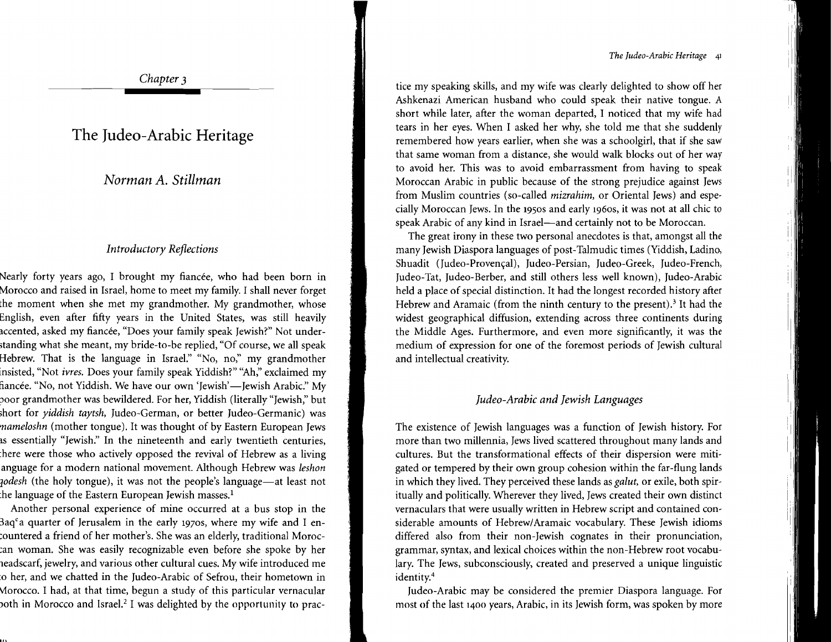*The Judea-Arabic Heritage* <sup>41</sup>

*Chapter 3* 

## **The Judeo-Arabic Heritage**

*Norman A. Stillman* 

### *Introductory Reflections*

Nearly forty years ago, I brought my fiancée, who had been born in Morocco and raised in Israel, home to meet my family. I shall never forget the moment when she met my grandmother. My grandmother, whose English, even after fifty years in the United States, was still heavily accented, asked my fiancée, "Does your family speak Jewish?" Not understanding what she meant, my bride-to-be replied, "Of course, we all speak Hebrew. That is the language in Israel." "No, no," my grandmother insisted, "Not *ivres.* Does your family speak Yiddish?" "Ah," exclaimed my fiancée. "No, not Yiddish. We have our own 'Jewish'—Jewish Arabic." My ooor grandmother was bewildered. For her, Yiddish (literally "Jewish;' but short for *yiddish taytsh,* Judeo-German, or better Judeo-Germanic) was *mameloshn* (mother tongue). It was thought of by Eastern European Jews as essentially "Jewish." In the nineteenth and early twentieth centuries, :here were those who actively opposed the revival of Hebrew as a living anguage for a modern national movement. Although Hebrew was *leshon zodesh* (the holy tongue), it was not the people's language—at least not the language of the Eastern European Jewish masses.<sup>1</sup>

Another personal experience of mine occurred at a bus stop in the  $3aq<sup>c</sup>$  a quarter of Jerusalem in the early 1970s, where my wife and I en-.ountered a friend of her mother's. She was an elderly, traditional Moroc .an woman. She was easily recognizable even before she spoke by her ieadscarf, jewelry, and various other cultural cues. My wife introduced me o her, and we chatted in the Iudeo-Arabic of Sefrou, their hometown in vlorocco, I had, at that time, begun a study of this particular vernacular both in Morocco and Israel.<sup>2</sup> I was delighted by the opportunity to prac-

tice my speaking skills, and my wife was clearly delighted to show off her Ashkenazi American husband who could speak their native tongue. A short while later, after the woman departed, I noticed that my wife had tears in her eyes. When I asked her why, she told me that she suddenly remembered how years earlier, when she was a schoolgirl, that if she saw that same woman from a distance, she would walk blocks out of her way to avoid her. This was to avoid embarrassment from having to speak Moroccan Arabic in public because of the strong prejudice against Jews from Muslim countries (so-called *mizrahim,* or Oriental Jews) and especially Moroccan Jews. In the 1950S and early 1960s, it was not at all chic to speak Arabic of any kind in Israel-and certainly not to be Moroccan.

The great irony in these two personal anecdotes is that, amongst all the many Jewish Diaspora languages of post-Talmudic times (Yiddish, Ladino, Shuadit (Iudeo-Provencal), Judeo-Persian, Iudeo-Greek, Iudeo-French, Iudeo-Tat, Iudeo-Berber, and still others less well known), [udeo-Arabic held a place of special distinction. It had the longest recorded history after Hebrew and Aramaic (from the ninth century to the present).<sup>3</sup> It had the widest geographical diffusion, extending across three continents during the Middle Ages. Furthermore, and even more significantly, it was the medium of expression for one of the foremost periods of Jewish cultural and intellectual creativity.

## *Judeo-Arabic and Jewish Languages*

The existence of Jewish languages was a function of Jewish history. For more than two millennia, Jews lived scattered throughout many lands and cultures. But the transformational effects of their dispersion were mitigated or tempered by their own group cohesion within the far-flung lands in which they lived. They perceived these lands as *galut,* or exile, both spiritually and politically. Wherever they lived, Jews created their own distinct vernaculars that were usually written in Hebrew script and contained considerable amounts of Hebrew/Aramaic vocabulary. These Jewish idioms differed also from their non-Jewish cognates in their pronunciation, grammar, syntax, and lexical choices within the non-Hebrew root vocabulary. The Jews, subconsciously, created and preserved a unique linguistic identity.<sup>4</sup>

Iudeo-Arabic may be considered the premier Diaspora language. For most of the last 1400 years, Arabic, in its Jewish form, was spoken by more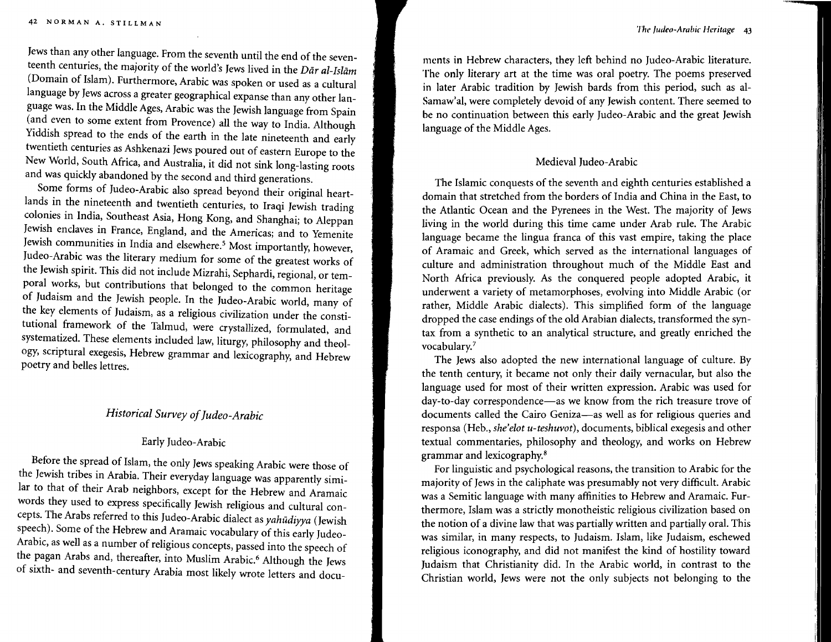Jews than any other language. From the seventh until the end of the seventeenth centuries, the majority of the world's Jews lived in the *Dar al-Isliim*  (Domain of Islam). Furthermore, Arabic was spoken or used as a cultural language by Jews across a greater geographical expanse than any other language was. In the Middle Ages, Arabic was the Jewish language from Spain (and even to some extent from Provence) all the way to India. Although Yiddish spread to the ends of the earth in the late nineteenth and early twentieth centuries as Ashkenazi Jews poured out of eastern Europe to the New World, South Africa, and Australia, it did not sink long-lasting roots and was quickly abandoned by the second and third generations.

Some forms of Iudeo-Arabic also spread beyond their original heartlands in the nineteenth and twentieth centuries, to Iraqi Jewish trading colonies in India, Southeast Asia, Hong Kong, and Shanghai; to Aleppan Jewish enclaves in France, England, and the Americas; and to Yemenite Jewish communities in India and elsewhere.<sup>5</sup> Most importantly, however, Iudeo-Arabic was the literary medium for some of the greatest works of the Jewish spirit. This did not include Mizrahi, Sephardi, regional, or temporal works, but contributions that belonged to the common heritage of Judaism and the Jewish people. In the Iudeo-Arabic world, many of the key elements of Judaism, as a religious civilization under the constitutional framework of the Talmud, were crystallized, formulated, and systematized. These elements included law, liturgy, philosophy and theology, scriptural exegesis, Hebrew grammar and lexicography, and Hebrew poetry and belles lettres.

## *Historical Survey ofJudea-Arabic*

#### Early Iudeo-Arabic

Before the spread of Islam, the only Jews speaking Arabic were those of the Jewish tribes in Arabia. Their everyday language was apparently similar to that of their Arab neighbors, except for the Hebrew and Aramaic words they used to express specifically Jewish religious and cultural concepts. The Arabs referred to this Iudeo-Arabic dialect as *yahudiyya* (Jewish speech). Some of the Hebrew and Aramaic vocabulary of this early Iudeo-Arabic, as well as a number of religious concepts, passed into the speech of the pagan Arabs and, thereafter, into Muslim Arabic.<sup>6</sup> Although the Jews of sixth- and seventh-century Arabia most likely wrote letters and docu-

mcnts in Hebrew characters, they left behind no Judeo-Arabic literature. The only literary art at the time was oral poetry. The poems preserved in later Arabic tradition by Jewish bards from this period, such as al-Sarnaw'al, were completely devoid of any Jewish content. There seemed to be no continuation between this early Iudeo-Arabic and the great Jewish language of the Middle Ages.

#### Medieval Iudeo-Arabic

The Islamic conquests of the seventh and eighth centuries established a domain that stretched from the borders of India and China in the East, to the Atlantic Ocean and the Pyrenees in the West. The majority of Jews living in the world during this time came under Arab rule. The Arabic language became the lingua franca of this vast empire, taking the place of Aramaic and Greek, which served as the international languages of culture and administration throughout much of the Middle East and North Africa previously. As the conquered people adopted Arabic, it underwent a variety of metamorphoses, evolving into Middle Arabic (or rather, Middle Arabic dialects). This simplified form of the language dropped the case endings of the old Arabian dialects, transformed the syntax from a synthetic to an analytical structure, and greatly enriched the vocabulary."

The Jews also adopted the new international language of culture. By the tenth century, it became not only their daily vernacular, but also the language used for most of their written expression. Arabic was used for day-to-day correspondence-as we know from the rich treasure trove of documents called the Cairo Geniza-as well as for religious queries and responsa (Heb., *she'elot u-teshuvot),* documents, biblical exegesis and other textual commentaries, philosophy and theology, and works on Hebrew grammar and lexicography.<sup>8</sup>

For linguistic and psychological reasons, the transition to Arabic for the majority of Jews in the caliphate was presumably not very difficult. Arabic was a Semitic language with many affinities to Hebrew and Aramaic. Furthermore, Islam was a strictly monotheistic religious civilization based on the notion of a divine law that was partially written and partially oral. This was similar, in many respects, to Judaism. Islam, like Judaism, eschewed religious iconography, and did not manifest the kind of hostility toward Judaism that Christianity did. In the Arabic world, in contrast to the Christian world, Jews were not the only subjects not belonging to the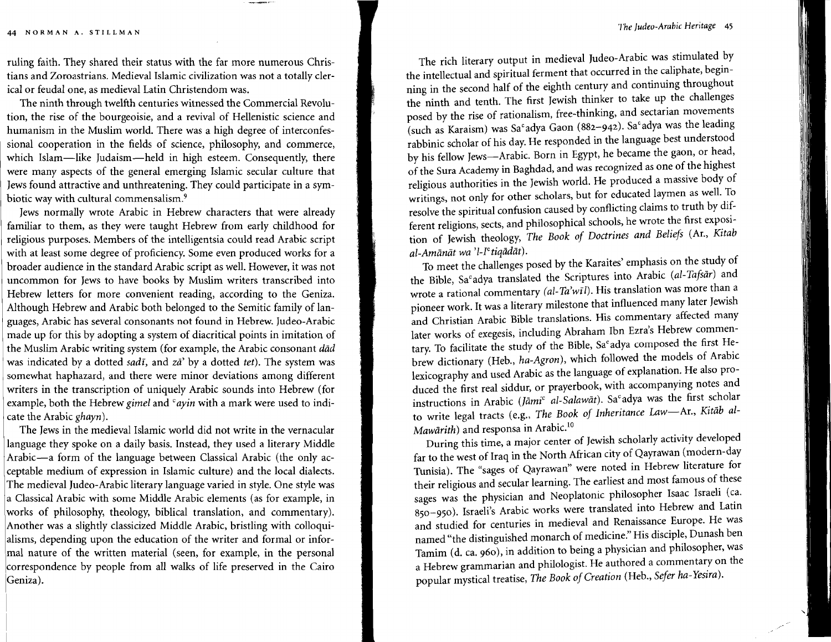I

I

ruling faith. They shared their status with the far more numerous Christians and Zoroastrians. Medieval Islamic civilization was not a totally clerical or feudal one, as medieval Latin Christendom was.

The ninth through twelfth centuries witnessed the Commercial Revolution, the rise of the bourgeoisie, and a revival of Hellenistic science and humanism in the Muslim world. There was a high degree of interconfessional cooperation in the fields of science, philosophy, and commerce, which Islam-like Judaism-held in high esteem. Consequently, there were many aspects of the general emerging Islamic secular culture that Jewsfound attractive and unthreatening. They could participate in a symbiotic way with cultural commensalism.<sup>9</sup>

Jews normally wrote Arabic in Hebrew characters that were already familiar to them, as they were taught Hebrew from early childhood for religious purposes. Members of the intelligentsia could read Arabic script with at least some degree of proficiency. Some even produced works for a broader audience in the standard Arabic script as well. However, it was not uncommon for Jews to have books by Muslim writers transcribed into Hebrew letters for more convenient reading, according to the Geniza. Although Hebrew and Arabic both belonged to the Semitic family of languages, Arabic has several consonants not found in Hebrew. Judeo-Arabic made up for this by adopting a system of diacritical points in imitation of the Muslim Arabic writing system (for example, the Arabic consonant *dad*  was indicated by a dotted *sadi,* and *za'* by a dotted *tet).* The system was somewhat haphazard, and there were minor deviations among different writers in the transcription of uniquely Arabic sounds into Hebrew (for example, both the Hebrew *gimel* and *"ayin* with a mark were used to indicate the Arabic *ghayn).* 

The Jews in the medieval Islamic world did not write in the vernacular language they spoke on a daily basis. Instead, they used a literary Middle Arabic-a form of the language between Classical Arabic (the only acceptable medium of expression in Islamic culture) and the local dialects. The medieval Iudeo-Arabic literary language varied in style. One style was a Classical Arabic with some Middle Arabic elements (as for example, in works of philosophy, theology, biblical translation, and commentary). Another was a slightly classicized Middle Arabic, bristling with colloquialisms, depending upon the education of the writer and formal or infor mal nature of the written material (seen, for example, in the personal correspondence by people from all walks of life preserved in the Cairo Geniza).

The rich literary output in medieval Judeo-Arabic was stimulated by the intellectual and spiritual ferment that occurred in the caliphate, beginning in the second half of the eighth century and continuing throughout the ninth and tenth. The first Jewish thinker to take up the challenges posed by the rise of rationalism, free-thinking, and sectarian movements (such as Karaism) was Sa°adya Gaon (882-942). Sa°adya was the leading rabbinic scholar of his day.He responded in the language best understood by his fellow Jews-Arabic. Born in Egypt, he became the gaon, or head, of the Sura Academy in Baghdad, and was recognized as one of the highest religious authorities in the Jewish world. He produced a massive body of writings, not only for other scholars, but for educated laymen as well. To resolve the spiritual confusion caused by conflicting claims to truth by different religions, sects, and philosophical schools, he wrote the first exposition of Jewish theology, *The Book of Doctrines and Beliefs* (Ar., *Kitab al-Amanat wa 'I-ICtiqadat).* 

To meet the challenges posed by the Karaites' emphasis on the study of the Bible, Sa<sup>c</sup>adya translated the Scriptures into Arabic (al-Tafsar) and wrote a rational commentary (al- *Ta'wfl).* His translation was more than a pioneer work. It was a literary milestone that influenced many later Jewish and Christian Arabic Bible translations. His commentary affected many later works of exegesis, including Abraham Ibn Ezra's Hebrew commentary. To facilitate the study of the Bible, Sa°adya composed the first Hebrew dictionary (Heb., *ha-Agron),* which followed the models of Arabic lexicography and used Arabic as the language of explanation. He also produced the first real siddur, or prayerbook, with accompanying notes and instructions in Arabic (Jāmi<sup>c</sup> al-Salawāt). Sa<sup>c</sup>adya was the first scholar to write legal tracts (e.g., *The Book of Inheritance* Law-Ar., *Kitiib al-Mawārith*) and responsa in Arabic.<sup>10</sup>

During this time, a major center of Jewish scholarly activity developed far to the west of Iraq in the North African city of Qayrawan (modern-day Tunisia). The "sages of Qayrawan" were noted in Hebrew literature for their religious and secular learning. The earliest and most famous of these sages was the physician and Neoplatonic philosopher Isaac Israeli (ca. 850-950). Israeli's Arabic works were translated into Hebrew and Latin and studied for centuries in medieval and Renaissance Europe. He was named "the distinguished monarch of medicine." His disciple, Dunash ben Tamim (d. ca. 960), in addition to being a physician and philosopher, was a Hebrew grammarian and philologist. He authored a commentary on the popular mystical treatise, *The Bookof Creation* (Heb., *Sefer ha-Yesira).*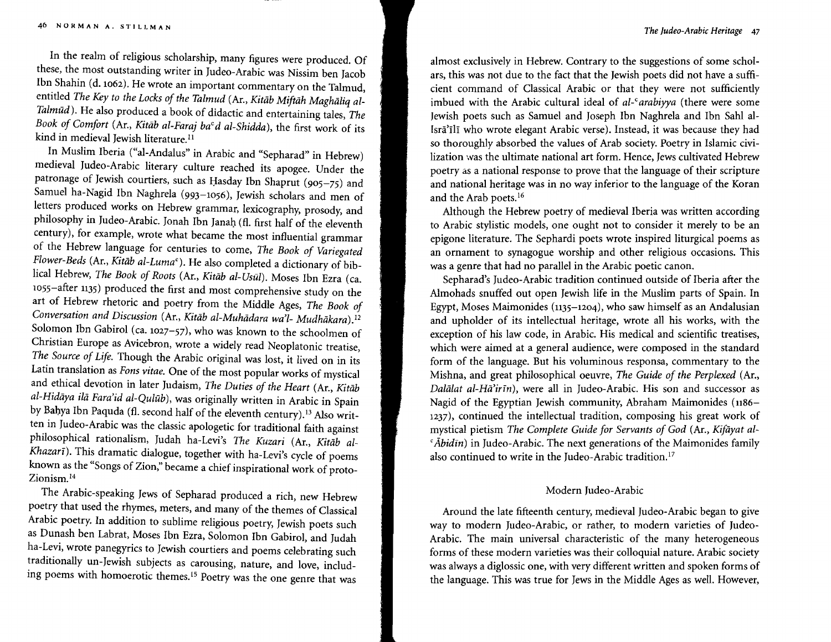In the realm of religious scholarship, many figures were produced. Of these, the most outstanding writer in Iudeo-Arabic was Nissim ben Jacob Ibn Shahin (d. 1062). He wrote an important commentary on the Talmud, entitled *The Key to the Locks of the Talmud* (Ar., *Kitāb Miftāh Maghāliq al-Talmud).* He also produced a book of didactic and entertaining tales, *The Book of Comfort* (Ar., *Kitab al-Faraj baid al-Shidda),* the first work of its kind in medieval Jewish literature.<sup>11</sup>

In Muslim Iberia ("al-Andalus" in Arabic and "Sepharad" in Hebrew) medieval Iudeo-Arabic literary culture reached its apogee. Under the patronage of Jewish courtiers, such as Hasday Ibn Shaprut (905-75) and Samuel ha-Nagid Ibn Naghrela (993-1056), Jewish scholars and men of letters produced works on Hebrew grammar, lexicography, prosody, and philosophy in Judeo-Arabic. Jonah Ibn Ianah (fl. first half of the eleventh century), for example, wrote what became the most influential grammar of the Hebrew language for centuries to come, *The Book of Variegated Flower-Beds* (Ar., *Kitāb al-Luma<sup>c</sup>*). He also completed a dictionary of biblical Hebrew, *The Book of Roots* (Ar., *Kitab al-Usuli.* Moses Ibn Ezra (ca. ross-after 113S) produced the first and most comprehensive study on the art of Hebrew rhetoric and poetry from the Middle Ages, *The Book of Conversation and Discussion (Ar., Kitāb al-Muhādara wa'l- Mudhākara).*<sup>12</sup> Solomon Ibn Gabirol (ca. 1027-57), who was known to the schoolmen of Christian Europe as Avicebron, wrote a widely read Neoplatonic treatise, *The Source of Life.* Though the Arabic original was lost, it lived on in its Latin translation as *Fons vitae.* One of the most popular works of mystical and ethical devotion in later Judaism, *The Duties of the Heart* (Ar., *Kitiib al-Hidaya tta Fara'id al-Qulub),* was originally written in Arabic in Spain by Bahya Ibn Paquda (fl. second half of the eleventh century). 13 Also written in Iudeo-Arabic was the classic apologetic for traditional faith against philosophical rationalism, Judah ha-Levi's *The Kuzari* (Ar., *Kitab al-Khazarī*). This dramatic dialogue, together with ha-Levi's cycle of poems known as the "Songs of Zion," became a chief inspirational work of proto-Zionism. <sup>14</sup>

The Arabic-speaking Jews of Sepharad produced a rich, new Hebrew poetry that used the rhymes, meters, and many of the themes of Classical Arabic poetry. In addition to sublime religious poetry, Jewish poets such as Dunash ben Labrat, Moses Ibn Ezra, Solomon Ibn Gabirol, and Judah ha-Levi, wrote panegyrics to Jewish courtiers and poems celebrating such traditionally un-Jewish subjects as carousing, nature, and love, including poems with homoerotic themes.<sup>15</sup> Poetry was the one genre that was

almost exclusively in Hebrew. Contrary to the suggestions of some scholars, this was not due to the fact that the Jewish poets did not have a sufficient command of Classical Arabic or that they were not sufficiently imbued with the Arabic cultural ideal of al-<sup>c</sup>arabiyya (there were some Jewish poets such as Samuel and Joseph Ibn Naghrela and Ibn Sahl al Isra'ill who wrote elegant Arabic verse). Instead, it was because they had so thoroughly absorbed the values of Arab society. Poetry in Islamic civilization was the ultimate national art form. Hence, Jews cultivated Hebrew poetry as a national response to prove that the language of their scripture and national heritage was in no way inferior to the language of the Koran and the Arab poets.<sup>16</sup>

Although the Hebrew poetry of medieval Iberia was written according to Arabic stylistic models, one ought not to consider it merely to be an epigone literature. The Sephardi poets wrote inspired liturgical poems as an ornament to synagogue worship and other religious occasions. This was a genre that had no parallel in the Arabic poetic canon.

Sepharad's Judeo-Arabic tradition continued outside of Iberia after the Almohads snuffed out open Jewish life in the Muslim parts of Spain. In Egypt, Moses Maimonides (113S-1204), who saw himself as an Andalusian and upholder of its intellectual heritage, wrote all his works, with the exception of his law code, in Arabic. His medical and scientific treatises, which were aimed at a general audience, were composed in the standard form of the language. But his voluminous responsa, commentary to the Mishna, and great philosophical oeuvre, *The Guide of the Perplexed* (Ar., *Dalalat al-Ha'irin),* were all in Iudeo-Arabic, His son and successor as Nagid of the Egyptian Jewish community, Abraham Maimonides (1186-1237), continued the intellectual tradition, composing his great work of mystical pietism The Complete Guide for Servants of God (Ar., *Kifayat al-* $\epsilon$ *Abidin*) in Judeo-Arabic. The next generations of the Maimonides family also continued to write in the Judeo-Arabic tradition.<sup>17</sup>

#### Modern Iudeo-Arabic

Around the late fifteenth century, medieval Iudeo-Arabic began to give way to modern Iudeo-Arabic, or rather, to modern varieties of Iudeo-Arabic. The main universal characteristic of the many heterogeneous forms of these modern varieties was their colloquial nature. Arabic society was always a diglossic one, with very different written and spoken forms of the language. This was true for Jews in the Middle Ages as well. However,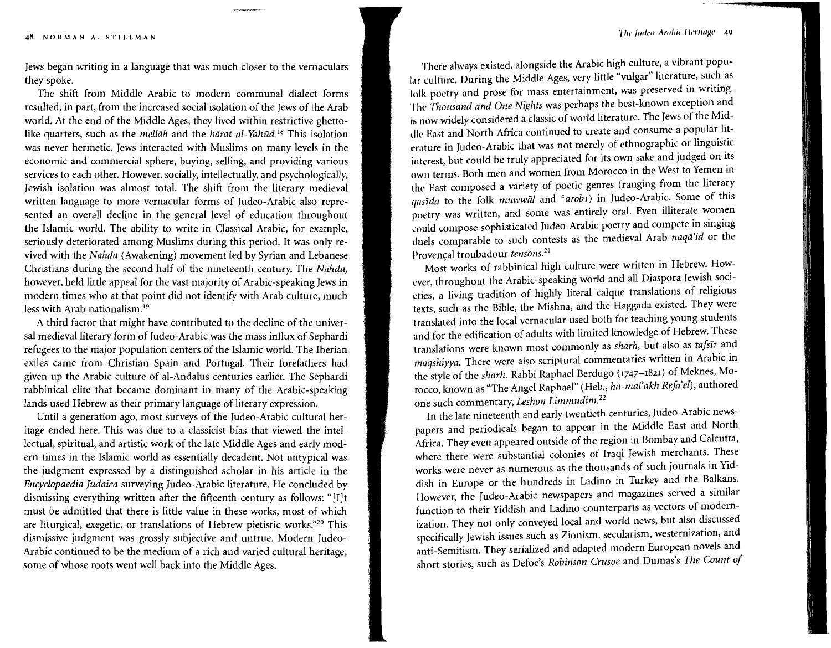Jews began writing in a language that was much closer to the vernaculars they spoke.

The shift from Middle Arabic to modern communal dialect forms resulted, in part, from the increased social isolation of the Jews of the Arab world. At the end of the Middle Ages, they lived within restrictive ghettolike quarters, such as the *mellah* and the *harat al-Yahud*.<sup>18</sup> This isolation was never hermetic. Jews interacted with Muslims on many levels in the economic and commercial sphere, buying, selling, and providing various services to each other. However, socially, intellectually, and psychologically, Jewish isolation was almost total. The shift from the literary medieval written language to more vernacular forms of Iudeo-Arabic also represented an overall decline in the general level of education throughout the Islamic world. The ability to write in Classical Arabic, for example, seriously deteriorated among Muslims during this period. It was only revived with the *Nahda* (Awakening) movement led by Syrian and Lebanese Christians during the second half of the nineteenth century. The *Nahda,*  however, held little appeal for the vast majority of Arabic-speaking Jews in modern times who at that point did not identify with Arab culture, much less with Arab nationalism.<sup>19</sup>

A third factor that might have contributed to the decline of the universal medieval literary form of Iudeo-Arabic was the mass influx of Sephardi refugees to the major population centers of the Islamic world. The Iberian exiles came from Christian Spain and Portugal. Their forefathers had given up the Arabic culture of al-Andalus centuries earlier. The Sephardi rabbinical elite that became dominant in many of the Arabic-speaking *lands* used Hebrew as their primary language of literary expression.

Until a generation ago, most surveys of the Iudeo-Arabic cultural heritage ended here. This was due to a classicist bias that viewed the intel*lectual,* spiritual, and artistic work of the late Middle Ages and early modern times in the Islamic world as essentially decadent. Not untypical was the judgment expressed by a distinguished scholar in his article in the *Encyclopaedia [udaica* surveying Iudeo-Arabic literature. He concluded by dismissing everything written after the fifteenth century as follows: "[I]t must be admitted that there is little value in these works, most of which are liturgical, exegetic, or translations of Hebrew pietistic works."<sup>20</sup> This dismissive judgment was grossly subjective and untrue. Modern Iudeo-Arabic continued to be the medium of a rich and varied cultural heritage, some of whose roots went well back into the Middle Ages.

There always existed, alongside the Arabic high culture, a vibrant populur culture. During the Middle Ages, very little "vulgar" literature, such as lolk poetry and prose for mass entertainment, was preserved in writing. The *Thousand and One Nights* was perhaps the best-known exception and Is now widely considered a classic of *world* literature. The Jews of the Middle East and North Africa continued to create and consume a popular literature in Judeo-Arabic that was not merely of ethnographic or linguistic interest, but could be truly appreciated for its own sake and judged on its own terms. Both men and women from Morocco in the West to Yemen in the East composed a variety of poetic genres (ranging from the literary *I/asida* to the folk *muwwal* and <sup>*c*</sup> *arobi*) in Judeo-Arabic. Some of this poetry was written, and some was entirely oral. Even illiterate women could compose sophisticated Iudeo-Arabic poetry and compete in singing duels comparable to such contests as the medieval Arab *naqa'id* or the Provencal troubadour *tensons,"* 

Most works of rabbinical high culture were written in Hebrew. However, throughout the Arabic-speaking world and all Diaspora Jewish societies, a living tradition of highly literal calque translations of religious texts, such as the Bible, the Mishna, and the Haggada existed. They were translated into the local vernacular used both for teaching young students and for the edification of adults with limited knowledge of Hebrew. These translations were known most commonly as *sharh,* but also as *tafslr* and *maqshiyya.* There were also scriptural commentaries written in Arabic in the style of the *sharh.* Rabbi Raphael Berdugo (1747-1821) of Meknes, Morocco, known as "The Angel Raphael" (Heb., *ha-mal'akh Refa'el),*authored one such commentary, *Leshon Limmudim/?* 

In the late nineteenth and early twentieth centuries, Judeo-Arabic newspapers and periodicals began to appear in the Middle East and North Africa. They even appeared outside of the region in Bombay and Calcutta, where there were substantial colonies of Iraqi Jewish merchants. These works were never as numerous as the thousands of such journals in Yiddish in Europe or the hundreds in Ladino in Turkey and the Balkans. However, the Judeo-Arabic newspapers and magazines served a similar function to their Yiddish and Ladino counterparts as vectors of modernization. They not only conveyed local and world news, but also discussed specifically Jewish issues such as Zionism, secularism, westernization, and anti-Semitism. They serialized and adapted modern European novels and short stories, such as Defoe's *Robinson Crusoe* and Dumas's *The Count of*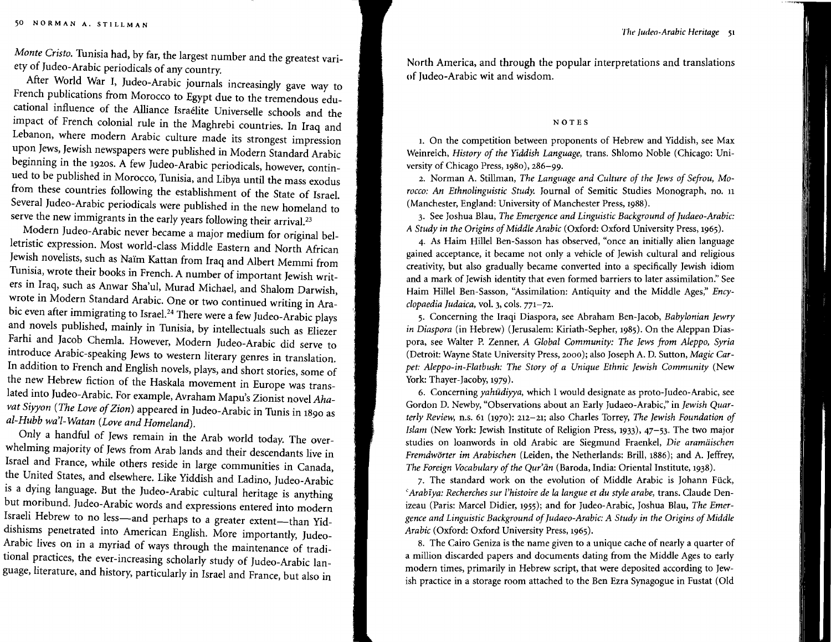*Monte Cristo. Tunisia* had, by far, the largest number and the greatest variety of Judeo-Arabic periodicals of any country.

After World War I, Iudeo-Arabic journals increasingly gave way to French publications from Morocco to Egypt due to the tremendous educational influence of the Alliance Israelite Universelle schools and the impact of French colonial rule *in* the Maghrebi countries. In Iraq and Lebanon, where modern Arabic culture made *its* strongest impression upon Jews, Jewish newspapers were published *in* Modern Standard Arabic beginning *in* the 1920S. A few Iudeo-Arabic periodicals, however, *contin*ued to be published *in* Morocco, *Tunisia,* and Libya *until* the mass exodus from these countries following the establishment of the State of Israel. Several Iudeo-Arabic periodicals were published *in* the new homeland to serve the new immigrants in the early years following their arrival.<sup>23</sup>

Modern Iudeo-Arabic never became a major *medium* for original belletristic expression. Most world-class Middle Eastern and North African Jewish novelists, such as Nairn Kattan from Iraq and Albert *Memmi* from Tunisia, wrote their books in French. A number of important Jewish writers in Iraq, such as Anwar Sha'ul, Murad Michael, and Shalom Darwish, wrote in Modern Standard Arabic. One or two continued writing in Arabic even after immigrating to Israel.<sup>24</sup> There were a few Judeo-Arabic plays and novels published, mainly in Tunisia, by intellectuals such as Eliezer Farhi and Jacob Chemla. However, Modern Iudeo-Arabic did serve to introduce Arabic-speaking Jews to western literary genres in translation. In addition to French and English novels, plays, and short stories, some of the new Hebrew fiction of the Haskala movement in Europe was translated into Iudeo-Arabic. For example, Avraham Mapu's Zionist novel *Ahavat Siyyon (The Love ofZion)* appeared *in* Judeo-Arabic in *Tunis* in 1890 as *al-Hubb wa'l-Watan (Love and Homeland).* 

Only a handful of Jews remain in the Arab world today. The overwhelming majority of Jews from Arab lands and their descendants live in Israel and France, while others reside in large communities in Canada, the United States, and elsewhere. Like Yiddish and Ladino, Iudeo-Arabic is a dying language. But the Iudeo-Arabic cultural heritage is anything but moribund. Iudeo-Arabic words and expressions entered into modern Israeli Hebrew to no less-and perhaps to a greater extent-than Yiddishisms penetrated into American English. More importantly, Iudeo-*Arabic* lives on in a myriad of ways through the maintenance of traditional practices, the ever-increasing scholarly study of Iudeo-Arabic language, literature, and history, particularly in Israel and France, but also in

North America, and through the popular interpretations and translations of Iudeo-Arabic wit and wisdom.

#### NOTES

I. On the competition between proponents of Hebrew and Yiddish, see Max Weinreich, *History of the Yiddish Language,* trans. Shlomo Noble (Chicago: University of Chicago Press, 1980), 286-99.

2. Norman A. Stillman, *The Language and Culture of the Jews of Sefrou, Morocco: An Ethnolinguistic Study.* Journal of Semitic Studies Monograph, no. 11 (Manchester, England: University of Manchester Press, 1988).

3. See Joshua Blau, *The Emergence and Linguistic Background ofJudaeo-Arabic: A Study in the Origins of Middle Arabic (Oxford: Oxford University Press, 1965).* 

4. As Haim Hillel Ben-Sasson has observed, "once an initially alien language gained acceptance, it became not only a vehicle of Jewish cultural and religious creativity, but also gradually became converted into a specifically Jewish idiom and a mark of Jewish identity that even formed barriers to later assimilation." See Haim Hillel Ben-Sasson, "Assimilation: Antiquity and the Middle Ages," *Encyclopaedialudaica,* vol. 3, cols. 771-72.

5. Concerning the Iraqi Diaspora, see Abraham Ben-Jacob, *Babylonian Jewry in Diaspora* (in Hebrew) (Jerusalem: Kiriath-Sepher, 1985). On the Aleppan Diaspora, see Walter P. Zenner, *A Global Community: The Jews from Aleppo, Syria*  (Detroit: Wayne State University Press, 2000); also Joseph A. D. Sutton, *Magic Carpet: Aleppo-in-Flatbush: The Story of a Unique Ethnic Jewish Community* (New York: Thayer-Jacoby, 1979).

6. Concerning *yahudiyya,* which I would designate as proto-Iudeo-Arabic, see Gordon D. Newby,"Observations about an Early Iudaeo-Arabic," in *Jewish Quarterly Review,* n.s. 61 (1970): 212-21; also Charles Torrey, *The Jewish Foundation of Islam* (New York: Jewish Institute of Religion Press, 1933), 47-53. The two major studies on loanwords in old Arabic are Siegmund Fraenkel, *Die aramiiischen Premdworter im Arabischen* (Leiden, the Netherlands: Brill, 1886); and A. Jeffrey, *The Foreign Vocabulary of the Qur'an* (Baroda, India: Oriental Institute, 1938).

7. The standard work on the evolution of Middle Arabic is Johann Fück, <sup>c</sup> Arabīya: Recherches sur l'histoire de la langue et du style arabe, trans. Claude Denizeau (Paris: Marcel Didier, 1955); and for Iudeo-Arabic, Joshua Blau, *The Emer*gence and Linguistic Background of Judaeo-Arabic: A Study in the Origins of Middle *Arabic* (Oxford: Oxford University Press, 1965).

8. The Cairo Geniza is the name given to a unique cache of nearly a quarter of a million discarded papers and documents dating from the Middle Ages to early modern times, primarily in Hebrew script, that were deposited according to Jewish practice in a storage room attached to the Ben Ezra Synagogue in Fustat (Old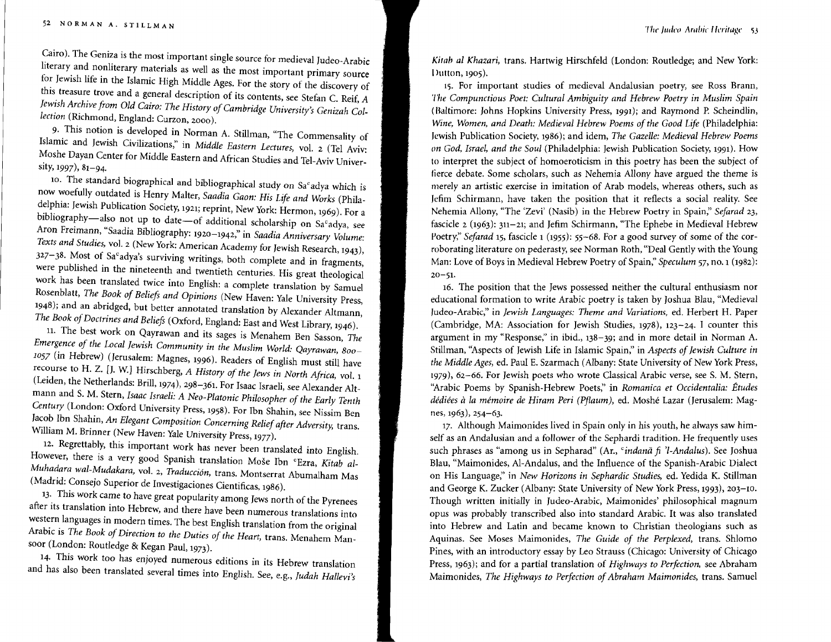Cairo). The Geniza is the most important single source for medieval Iudeo-Arabic literary and nonliterary materials as well as the most important primary source for Jewish life in the Islamic High Middle Ages. For the story of the discovery of this treasure trove and a general description of its contents, see Stefan C. Reif, A Jewish Archive from Old Cairo: The History of Cambridge University's Genizah Col*lection* (Richmond, England: Curzon, 2000).

9· This notion is developed in Norman A. Stillman, "The Commensality of Islamic and Jewish Civilizations," in *Middle Eastern Lectures,* vol. 2 (Tel Aviv: Moshe Dayan Center for Middle Eastern and African Studies and Tel-Aviv University, 1997), 81-94.

10. The standard biographical and bibliographical study on Sa°adya which is now woefully outdated is Henry Malter, *Saadia Gaon: His Life and Works* (Philadelphia: Jewish Publication Society, 1921; reprint, New York: Hermon, 1969). For a bibliography-also not up to date-of additional scholarship on Sa°adya, see Aron Freimann, "Saadia Bibliography: 1920-1942," in *Saadia Anniversary Volume: Texts and Studies,* vol. 2 (New York: American Academy for Jewish Research, 1943),  $327-38$ . Most of Sa°adya's surviving writings, both complete and in fragments, were published in the nineteenth and twentieth centuries. His great theological work has been translated twice into English: a complete translation by Samuel Rosenblatt, *The Book of Beliefs and Opinions* (New Haven: Yale University Press, 1948); and an abridged, but better annotated translation by Alexander Altmann, The Book of Doctrines and Beliefs (Oxford, England: East and West Library, 1946).

11. The best work on Qayrawan and its sages is Menahem Ben Sasson, *The Emergence of the Local Jewish Community in the Muslim World: Qayrawan, 800 1057* (in Hebrew) (Jerusalem: Magnes, 1996). Readers of English must still have recourse to H. Z. [J. W.] Hirschberg, *A History of the Jews in North Africa*, vol. 1 (Leiden, the Netherlands: Brill, 1974), 298-361. For Isaac Israeli, see Alexander Altmann and S. M. Stern, *Isaac Israeli: A Neo-Platonic Philosopher of the Early Tenth Century* (London: Oxford University Press, 1958). For Ibn Shahin, see Nissim Ben Jacob Ibn Shahin, *An Elegant Composition Concerning Relief after Adversity,* trans. William M. Brinner (New Haven: Yale University Press, 1977).

12. Regrettably, this important work has never been translated into English. However, there is a very good Spanish translation Mose Ibn "Ezra, *Kitab al-Muhadara wal-Mudakara, vol. 2, Traducción, trans. Montserrat Abumalham Mas* (Madrid: Consejo Superior de Investigaciones Cientificas, 1986).

13· This work came to have great popularity among Jews north of the Pyrenees after its translation into Hebrew, and there have been numerous translations into western languages in modern times. The best English translation from the original Arabic is *The Book of Direction to the Duties of the Heart,* trans. Menahem Mansoor (London: Routledge & Kegan Paul, 1973).

14· This work too has enjoyed numerous editions in its Hebrew translation and has also been translated several times into English. See, e.g., *Judah Hallevi's* 

*Ki/ah al Khazari,* trans. Hartwig Hirschfeld (London: Routledge; and New York: Dutton, 1905).

I;. For important studies of medieval Andalusian poetry, see Ross Brann, *The Compunctious Poet: Cultural Ambiguity and Hebrew Poetry in Muslim Spain*  (Baltimore: Johns Hopkins University Press, 1991); and Raymond P. Scheindlin, Wine, Women, and Death: Medieval Hebrew Poems of the Good Life (Philadelphia: Jewish Publication Society, 1986); and idem, *The Gazelle: Medieval Hebrew Poems on God, Israel, and the Soul* (Philadelphia: Jewish Publication Society, 1991). How to interpret the subject of homoeroticism in this poetry has been the subject of fierce debate. Some scholars, such as Nehemia Allony have argued the theme is merely an artistic exercise in imitation of Arab models, whereas others, such as Iefim Schirmann, have taken the position that it reflects a social reality. See Nehemia Allony, "The 'Zevi' (Nasib) in the Hebrew Poetry in Spain;' *Sejarad 23,*  fascicle 2 (1963): 311-21; and Iefim Schirmann, "The Ephebe in Medieval Hebrew Poetry,"*Sefarad* 15, fascicle 1 (1955): 55-68. For a good survey of some of the corroborating literature on pederasty, see Norman Roth, "Deal Gently with the Young Man: Love of Boys in Medieval Hebrew Poetry of Spain;' *Speculum* 57, no. 1 (1982):  $20 - 51.$ 

16. The position that the Jews possessed neither the cultural enthusiasm nor educational formation to write Arabic poetry is taken by Joshua Blau, "Medieval ludeo-Arabic," in *Jewish Languages: Theme and Variations,* ed. Herbert H. Paper (Cambridge, MA: Association for Jewish Studies, 1978), 123-24. I counter this argument in my "Response," in ibid., 138-39; and in more detail in Norman A. Stillman, "Aspects of Jewish Life in Islamic Spain," in *Aspects of Jewish Culture in the Middle Ages, ed. Paul E. Szarmach (Albany: State University of New York Press,* 1979),62-66. For Jewish poets who wrote Classical Arabic verse, see S. M. Stern, "Arabic Poems by Spanish-Hebrew Poets;' in *Romanica et Occidentalia: Etudes dediees ala memoire de Hiram Peri (Pflaum),* ed. Moshe Lazar (Jerusalem: Magnes, 1963), 254-63.

17. Although Maimonides lived in Spain only in his youth, he always saw himself as an Andalusian and a follower of the Sephardi tradition. He frequently uses such phrases as "among us in Sepharad" (Ar., *"indanii* fi *'l-Andalus).* See Joshua Blau, "Maimonides, Al-Andalus, and the Influence of the Spanish-Arabic Dialect on His Language;' in *New Horizons in Sephardic Studies,* ed. Yedida K. Stillman and George K. Zucker (Albany: State University of New York Press, 1993), 203-10. Though written initially in Judeo-Arabic, Maimonides' philosophical magnum opus was probably transcribed also into standard Arabic. It was also translated into Hebrew and Latin and became known to Christian theologians such as Aquinas. See Moses Maimonides, *The Guide of the Perplexed,* trans. Shlomo Pines, with an introductory essay by Leo Strauss (Chicago: University of Chicago Press, 1963); and for a partial translation of *Highways to Perfection,* see Abraham Maimonides, *The Highways to Perfection of Abraham Maimonides,* trans. Samuel